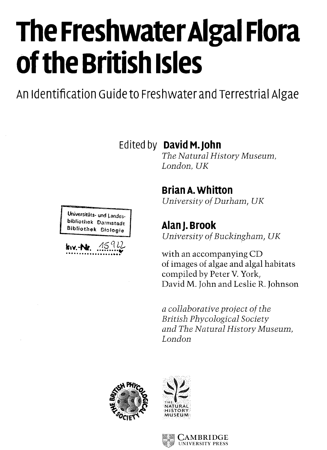# **The Freshwater Algal Flora of the British Isles**

An Identification Guide to Freshwater and Terrestrial Algae

**Edited by DavidM.John**

*The Natural History Museum, London, UK*

# **BrianA.Whitton**

*University of Durham, UK*

Bibliothek Bfologie **Alan j . Brook** *University of Buckingham, UK*

> with an accompanying CD of images of algae and algal habitats compiled by Peter V. York, David M. John and Leslie R. Johnson

*a collaborative project of the British Phycological Society and The Natural History Museum, London*



Universitats- und Landesbibliothek Darmstadt

**KIV. - Nr.**  $.15912$ 



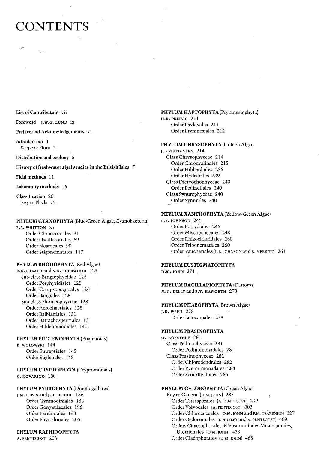# **CONTENTS**

**List of Contributors** vii

 $\mathbf{r}$ 

**Foreword J.W.G.** LUND **ix**

**Preface and Acknowledgements xi**

**Introduction 1** Scope of Flora 2

**Distribution and ecology 5**

**History of freshwater algal studies in the British Isles 7**

**Field methods** 11

**Laboratory methods** 16

**Classification** 20  $K$ ey to Phyla 22

#### **PHYLUM CYANOPHYTA** (Blue-Green Algae/Cyanobacteria)

B.A. WHITTON 25 Order Chroococcales 31 Order Oscillatoriales 59 Order Nostocales 90 Order Stigonematales 117

#### **PHYLUM RHODOPHYTA** (Red Algae)

R.G. SHEATH and A.R. SHERWOOD 123 Sub-class Bangiophycidae 125 Order Porphyridiales 125 Order Compsopogonales 126 Order Bangiales 128 Sub-class Florideophyceae 128 Order Acrochaetiales 128 Order Balbianiales 131 Order Batrachospermales 131 Order Hildenbrandiales 140.

#### **PHYLUM EUGLENOPHYTA** (Euglenoids)

K. WOLOWSKI 144 Order Eutreptiales 145 Order Euglenales 145

**PHYLUM CRYPTOPHYTA** (Cryptomonads) G. NOVARINO 180

## **PHYLUM PYRROPHYTA** (Dinoflagellates)

J.M. LEWIS and J.D. DODGE 186 Order Gymnodiniales 188 Order Gonyaulacales 196 Order Peridiniales 198 Order Phytodiniales 205

**PHYLUM RAPHIDOPHYTA** A. PENTECOST 208

# **PHYLUM HAPTOPHYTA** (Prymnesiophyta)

H.R. PREISIG 211 Order Pavlovales 211 Order Prymnesiales 212

## **PHYLUM CHRYSOPHYTA** (Golden Algae)

**I. KRISTIANSEN 214** Class Chrysophyceae 214 Order Chromulinales 215 Order Hibberdiales 236 Order Hydrurales 239 Class Dictyochophyceae 240 Order Pedinellales 240 Class Synurophyceae 240 Order Synurales 240

# **PHYLUM XANTHOPHYTA** (Yellow-Green Algae)

L.R. JOHNSON 245 Order Botrydiales 246 Order Mischococcales 248 Order Rhizochloridales 260 Order Tribonematales 260 Order Vaucheriales (L.R. IOHNSON and R. MERRITT) 261

# **PHYLUM EUSTIGMATOPHYTA**

D.M. |OHN 271

**PHYLUM BACILLARIOPHYTA** (Diatoms) M.G. KELLY and E.Y. HAWORTH 273

**PHYLUM PHAEOPHYTA** (Brown Algae) J.D. WEHR 278 *I* Order Ectocarpales 278

#### PHYLUM PRASINOPHYTA

*Ø. MOESTRUP* 281 Class Pedinophyceae 281 Order Pedinomonadales 281 Class Prasinophyceae 282 Order Chlorodendrales 282 Order Pyramimonadales 284 Order Scourfieldiales 285

# **PHYLUM CHLOROPHYTA** (Green Algae)

Key to Genera (D.M. JOHN) 287 Order Tetrasporales (A. PENTECOST) 299 Order Volvocales (A. PENTECOST) 303 Order Chlorococcales (D.M. JOHN and P.M. TSARENKO) 327 Order Oedogoniales (j. HUXLEY and A. PENTECOST) 409 Orders Chaetophorales, Klebsormidiales Microsporales, Ulotrichales (D.M. JOHN) 433 Order Cladophorales (D.M. JOHN) 468